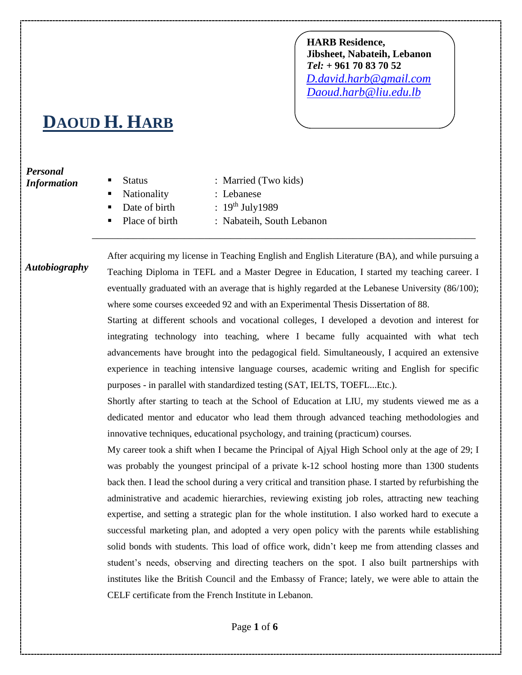**HARB Residence, Jibsheet, Nabateih, Lebanon** *Tel:* **+ 961 70 83 70 52**  *[D.david.harb@gmail.com](mailto:D.david.harb@gmail.com) [Daoud.harb@liu.edu.lb](mailto:Daoud.harb@liu.edu.lb)*

## **DAOUD H. HARB**

## *Personal Information*

Status : Married (Two kids) Nationality : Lebanese Date of birth  $\qquad$ :  $19^{th}$  July1989 Place of birth : Nabateih, South Lebanon \_\_\_\_\_\_\_\_\_\_\_\_\_\_\_\_\_\_\_\_\_\_\_\_\_\_\_\_\_\_\_\_\_\_\_\_\_\_\_\_\_\_\_\_\_\_\_\_\_\_\_\_\_\_\_\_\_\_\_\_\_\_\_\_\_\_\_\_\_\_\_\_\_\_\_

After acquiring my license in Teaching English and English Literature (BA), and while pursuing a Teaching Diploma in TEFL and a Master Degree in Education, I started my teaching career. I eventually graduated with an average that is highly regarded at the Lebanese University (86/100); where some courses exceeded 92 and with an Experimental Thesis Dissertation of 88. *Autobiography*

> Starting at different schools and vocational colleges, I developed a devotion and interest for integrating technology into teaching, where I became fully acquainted with what tech advancements have brought into the pedagogical field. Simultaneously, I acquired an extensive experience in teaching intensive language courses, academic writing and English for specific purposes - in parallel with standardized testing (SAT, IELTS, TOEFL...Etc.).

> Shortly after starting to teach at the School of Education at LIU, my students viewed me as a dedicated mentor and educator who lead them through advanced teaching methodologies and innovative techniques, educational psychology, and training (practicum) courses.

> My career took a shift when I became the Principal of Ajyal High School only at the age of 29; I was probably the youngest principal of a private k-12 school hosting more than 1300 students back then. I lead the school during a very critical and transition phase. I started by refurbishing the administrative and academic hierarchies, reviewing existing job roles, attracting new teaching expertise, and setting a strategic plan for the whole institution. I also worked hard to execute a successful marketing plan, and adopted a very open policy with the parents while establishing solid bonds with students. This load of office work, didn't keep me from attending classes and student's needs, observing and directing teachers on the spot. I also built partnerships with institutes like the British Council and the Embassy of France; lately, we were able to attain the CELF certificate from the French Institute in Lebanon.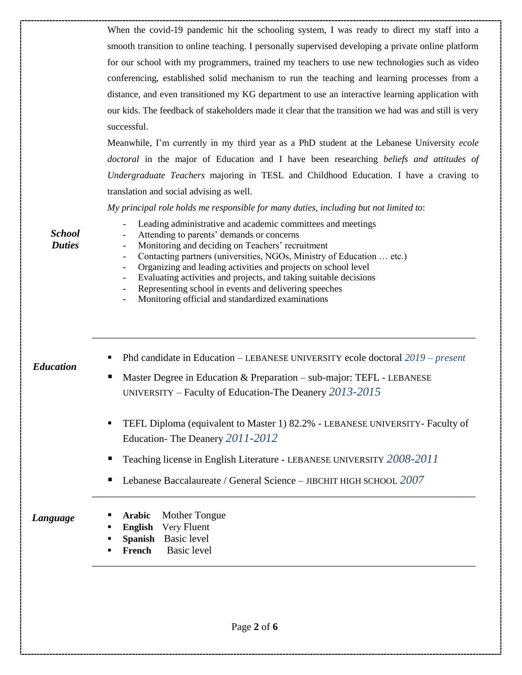| When the covid-19 pandemic hit the schooling system, I was ready to direct my staff into a            |
|-------------------------------------------------------------------------------------------------------|
| smooth transition to online teaching. I personally supervised developing a private online platform    |
| for our school with my programmers, trained my teachers to use new technologies such as video         |
| conferencing, established solid mechanism to run the teaching and learning processes from a           |
| distance, and even transitioned my KG department to use an interactive learning application with      |
| our kids. The feedback of stakeholders made it clear that the transition we had was and still is very |
| successful.                                                                                           |

Meanwhile, I'm currently in my third year as a PhD student at the Lebanese University *ecole doctoral* in the major of Education and I have been researching *beliefs and attitudes of Undergraduate Teachers* majoring in TESL and Childhood Education. I have a craving to translation and social advising as well.

*My principal role holds me responsible for many duties, including but not limited to*:

Leading administrative and academic committees and meetings

*School Duties*

- Attending to parents' demands or concerns
- Monitoring and deciding on Teachers' recruitment
- Contacting partners (universities, NGOs, Ministry of Education ... etc.)
- Organizing and leading activities and projects on school level
- Evaluating activities and projects, and taking suitable decisions
- Representing school in events and delivering speeches
- Monitoring official and standardized examinations

Phd candidate in Education – LEBANESE UNIVERSITY ecole doctoral *2019 – present*

\_\_\_\_\_\_\_\_\_\_\_\_\_\_\_\_\_\_\_\_\_\_\_\_\_\_\_\_\_\_\_\_\_\_\_\_\_\_\_\_\_\_\_\_\_\_\_\_\_\_\_\_\_\_\_\_\_\_\_\_\_\_\_\_\_\_\_\_\_\_\_\_\_\_\_

- Master Degree in Education & Preparation sub-major: TEFL LEBANESE UNIVERSITY – Faculty of Education-The Deanery *2013-2015*
- **TEFL Diploma (equivalent to Master 1) 82.2% LEBANESE UNIVERSITY- Faculty of** Education- The Deanery *2011-2012*

\_\_\_\_\_\_\_\_\_\_\_\_\_\_\_\_\_\_\_\_\_\_\_\_\_\_\_\_\_\_\_\_\_\_\_\_\_\_\_\_\_\_\_\_\_\_\_\_\_\_\_\_\_\_\_\_\_\_\_\_\_\_\_\_\_\_\_\_\_\_\_\_\_\_\_

\_\_\_\_\_\_\_\_\_\_\_\_\_\_\_\_\_\_\_\_\_\_\_\_\_\_\_\_\_\_\_\_\_\_\_\_\_\_\_\_\_\_\_\_\_\_\_\_\_\_\_\_\_\_\_\_\_\_\_\_\_\_\_\_\_\_\_\_\_\_\_\_\_\_\_

- Teaching license in English Literature LEBANESE UNIVERSITY *2008-2011*
- Lebanese Baccalaureate / General Science JIBCHIT HIGH SCHOOL 2007
- *Language*
- **Arabic** Mother Tongue
- **English** Very Fluent
- **Spanish** Basic level
- **French** Basic level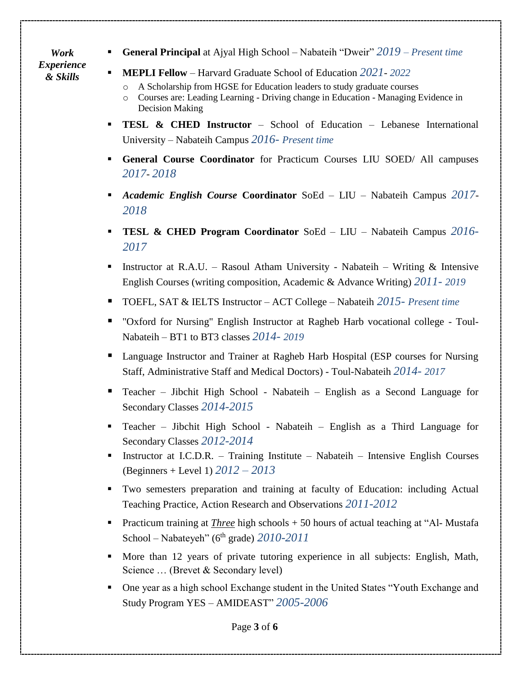*Work Experience & Skills*

- **General Principal** at Ajyal High School Nabateih "Dweir" *2019 – Present time*
- **MEPLI Fellow** Harvard Graduate School of Education *2021 2022*
	- A Scholarship from HGSE for Education leaders to study graduate courses
	- o Courses are: Leading Learning Driving change in Education Managing Evidence in Decision Making
- **TESL & CHED Instructor** School of Education Lebanese International University – Nabateih Campus *2016- Present time*
- **General Course Coordinator** for Practicum Courses LIU SOED/ All campuses *2017*- *2018*
- *Academic English Course* **Coordinator** SoEd LIU Nabateih Campus *2017 2018*
- **TESL & CHED Program Coordinator** SoEd LIU Nabateih Campus *2016- 2017*
- **Instructor at R.A.U.** Rasoul Atham University Nabateih Writing  $\&$  Intensive English Courses (writing composition, Academic & Advance Writing) *2011- 2019*
- TOEFL, SAT & IELTS Instructor ACT College Nabateih *2015- Present time*
- "Oxford for Nursing" English Instructor at Ragheb Harb vocational college Toul-Nabateih – BT1 to BT3 classes *2014- 2019*
- Language Instructor and Trainer at Ragheb Harb Hospital (ESP courses for Nursing Staff, Administrative Staff and Medical Doctors) - Toul-Nabateih *2014- 2017*
- Teacher Jibchit High School Nabateih English as a Second Language for Secondary Classes *2014-2015*
- Teacher Jibchit High School Nabateih English as a Third Language for Secondary Classes *2012-2014*
- **Instructor at I.C.D.R.** Training Institute Nabateih Intensive English Courses (Beginners + Level 1) *2012 – 2013*
- Two semesters preparation and training at faculty of Education: including Actual Teaching Practice, Action Research and Observations *2011-2012*
- Practicum training at *Three* high schools + 50 hours of actual teaching at "Al- Mustafa School – Nabateyeh" (6th grade) *2010-2011*
- More than 12 years of private tutoring experience in all subjects: English, Math, Science ... (Brevet & Secondary level)
- One year as a high school Exchange student in the United States "Youth Exchange and Study Program YES – AMIDEAST" *2005-2006*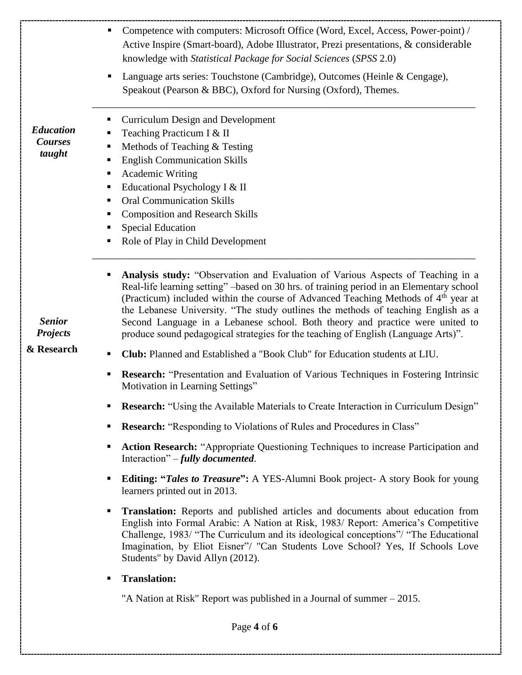|                                                                                  | Competence with computers: Microsoft Office (Word, Excel, Access, Power-point) /<br>Active Inspire (Smart-board), Adobe Illustrator, Prezi presentations, & considerable<br>knowledge with Statistical Package for Social Sciences (SPSS 2.0)                                                                                                                                                                                                                                                                                             |
|----------------------------------------------------------------------------------|-------------------------------------------------------------------------------------------------------------------------------------------------------------------------------------------------------------------------------------------------------------------------------------------------------------------------------------------------------------------------------------------------------------------------------------------------------------------------------------------------------------------------------------------|
|                                                                                  | Language arts series: Touchstone (Cambridge), Outcomes (Heinle & Cengage),<br>Speakout (Pearson & BBC), Oxford for Nursing (Oxford), Themes.                                                                                                                                                                                                                                                                                                                                                                                              |
| <b>Education</b><br><b>Courses</b><br>taught<br><b>Senior</b><br><b>Projects</b> | <b>Curriculum Design and Development</b><br>ш<br>Teaching Practicum I & II<br>Methods of Teaching & Testing<br>ш<br><b>English Communication Skills</b><br>ш<br>Academic Writing<br>ш<br>Educational Psychology I & II<br>п<br><b>Oral Communication Skills</b><br>ш<br><b>Composition and Research Skills</b><br>п<br><b>Special Education</b><br>Role of Play in Child Development                                                                                                                                                      |
|                                                                                  | Analysis study: "Observation and Evaluation of Various Aspects of Teaching in a<br>Real-life learning setting" -based on 30 hrs. of training period in an Elementary school<br>(Practicum) included within the course of Advanced Teaching Methods of 4 <sup>th</sup> year at<br>the Lebanese University. "The study outlines the methods of teaching English as a<br>Second Language in a Lebanese school. Both theory and practice were united to<br>produce sound pedagogical strategies for the teaching of English (Language Arts)". |
| & Research                                                                       | <b>Club:</b> Planned and Established a "Book Club" for Education students at LIU.<br>٠                                                                                                                                                                                                                                                                                                                                                                                                                                                    |
|                                                                                  | <b>Research:</b> "Presentation and Evaluation of Various Techniques in Fostering Intrinsic<br>Motivation in Learning Settings"                                                                                                                                                                                                                                                                                                                                                                                                            |
|                                                                                  | <b>• Research:</b> "Using the Available Materials to Create Interaction in Curriculum Design"                                                                                                                                                                                                                                                                                                                                                                                                                                             |
|                                                                                  | <b>Research:</b> "Responding to Violations of Rules and Procedures in Class"                                                                                                                                                                                                                                                                                                                                                                                                                                                              |
|                                                                                  | Action Research: "Appropriate Questioning Techniques to increase Participation and<br>٠<br>Interaction" $-fully$ documented.                                                                                                                                                                                                                                                                                                                                                                                                              |
|                                                                                  | <b>Editing: "Tales to Treasure":</b> A YES-Alumni Book project- A story Book for young<br>ш<br>learners printed out in 2013.                                                                                                                                                                                                                                                                                                                                                                                                              |
|                                                                                  | <b>Translation:</b> Reports and published articles and documents about education from<br>English into Formal Arabic: A Nation at Risk, 1983/ Report: America's Competitive<br>Challenge, 1983/ "The Curriculum and its ideological conceptions"/ "The Educational<br>Imagination, by Eliot Eisner"/ "Can Students Love School? Yes, If Schools Love<br>Students" by David Allyn (2012).                                                                                                                                                   |
|                                                                                  | <b>Translation:</b><br>٠                                                                                                                                                                                                                                                                                                                                                                                                                                                                                                                  |
|                                                                                  | "A Nation at Risk" Report was published in a Journal of summer $-2015$ .                                                                                                                                                                                                                                                                                                                                                                                                                                                                  |
|                                                                                  | Page 4 of 6                                                                                                                                                                                                                                                                                                                                                                                                                                                                                                                               |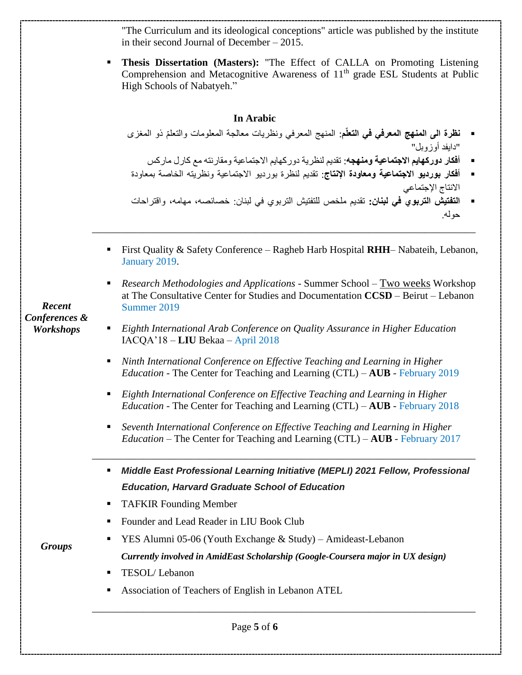"The Curriculum and its ideological conceptions" article was published by the institute in their second Journal of December – 2015.

**Thesis Dissertation (Masters):** "The Effect of CALLA on Promoting Listening Comprehension and Metacognitive Awareness of  $11<sup>th</sup>$  grade ESL Students at Public High Schools of Nabatyeh."

## **In Arabic**

- **نظرة الى المنهج المعرفي في التعلّم**: المنهج المعرفي ونظريات معالجة المعلومات والتعلّم ذو المغزى "دايفدّأوزوبل"
	- **أفكار دوركهايم االجتماعية ومنهجه**: تقديمّلنظريةّدوركهايمّاالجتماعيةّومقارنتهّمعّكارلّماركس
- **أفكار بورديو االجتماعية ومعاودة اإلنتاج**: تقديم لنظرة بورديو االجتماعية ونظريته الخاصة بمعاودة االنتاج اإلجتماعي
- **التفتيش التربوي في لبنان:** تقديم ملخص للتفتيش التربوي في لبنان: خصائصه، مهامه، واقتراحات حوله.
- First Quality & Safety Conference Ragheb Harb Hospital **RHH** Nabateih, Lebanon, January 2019.

\_\_\_\_\_\_\_\_\_\_\_\_\_\_\_\_\_\_\_\_\_\_\_\_\_\_\_\_\_\_\_\_\_\_\_\_\_\_\_\_\_\_\_\_\_\_\_\_\_\_\_\_\_\_\_\_\_\_\_\_\_\_\_\_\_\_\_\_\_\_\_\_\_\_\_

 *Research Methodologies and Applications* - Summer School – Two weeks Workshop at The Consultative Center for Studies and Documentation **CCSD** – Beirut – Lebanon Summer 2019

*Recent Conferences & Workshops*

- *Eighth International Arab Conference on Quality Assurance in Higher Education* IACQA'18 – **LIU** Bekaa – April 2018
- *Ninth International Conference on Effective Teaching and Learning in Higher Education* - The Center for Teaching and Learning (CTL) – **AUB** - February 2019
- *Eighth International Conference on Effective Teaching and Learning in Higher Education* - The Center for Teaching and Learning (CTL) – **AUB** - February 2018
- *Seventh International Conference on Effective Teaching and Learning in Higher Education* – The Center for Teaching and Learning (CTL) – **AUB** - February 2017

\_\_\_\_\_\_\_\_\_\_\_\_\_\_\_\_\_\_\_\_\_\_\_\_\_\_\_\_\_\_\_\_\_\_\_\_\_\_\_\_\_\_\_\_\_\_\_\_\_\_\_\_\_\_\_\_\_\_\_\_\_\_\_\_\_\_\_\_\_\_\_\_\_\_\_

- *Middle East Professional Learning Initiative (MEPLI) 2021 Fellow, Professional Education, Harvard Graduate School of Education*
- TAFKIR Founding Member
- Founder and Lead Reader in LIU Book Club
- *Groups*
- **YES** Alumni 05-06 (Youth Exchange  $& Study$ ) Amideast-Lebanon *Currently involved in AmidEast Scholarship (Google-Coursera major in UX design)*

\_\_\_\_\_\_\_\_\_\_\_\_\_\_\_\_\_\_\_\_\_\_\_\_\_\_\_\_\_\_\_\_\_\_\_\_\_\_\_\_\_\_\_\_\_\_\_\_\_\_\_\_\_\_\_\_\_\_\_\_\_\_\_\_\_\_\_\_\_\_\_\_\_\_\_

- **TESOL/Lebanon**
- Association of Teachers of English in Lebanon ATEL